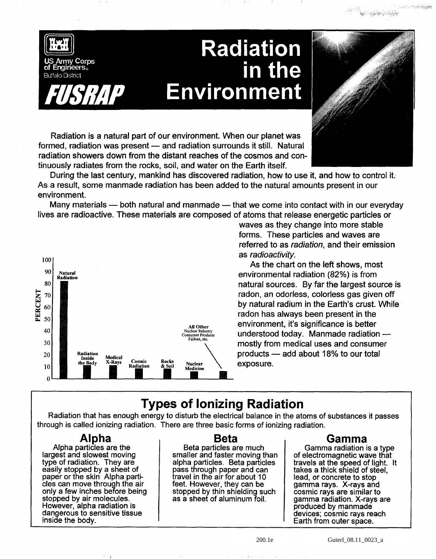

Radiation is a natural part of our environment. When our planet was formed, radiation was present - and radiation surrounds it still. Natural radiation showers down from the distant reaches of the cosmos and continuously radiates from the rocks, soil, and water on the Earth itself.

During the last century, mankind has discovered radiation, how to use it, and how to control it. As a result, some manmade radiation has been added to the natural amounts present in our environment.

Many materials — both natural and manmade — that we come into contact with in our everyday lives are radioactive. These materials are composed of atoms that release energetic particles or



waves as they change into more stable forms. These particles and waves are referred to as radiation, and their emission as radioactivity.

As the chart on the left shows, most environmental radiation (82%) is from natural sources. By far the largest source is radon, an odorless, colorless gas given off by natural radium in the Earth's crust. While radon has always been present in the **AII Other Consumer Reproducts Fallows**<br> **AII Other Products Fallout, <b>Consumer Products Consumer Products Consumer Products Consumer Product and Consumer Product and Consumer Product at a** mostly from medical uses and consumer understood today. Manmade radiation<br>mostly from medical uses and consume<br>products --- add about 18% to our total<br>expective exposure.

# **Types of Ionizing Radiation**

Radiation that has enough energy to disturb the electrical balance in the atoms of substances it passes through is called ionizing radiation. There are three basic forms of ionizing radiation.

Alpha particles are the<br>largest and slowest moving largest and slowest moving<br>type of radiation. They are easily stopped by a sheet of paper or the skin Alpha parti- cles can move through the air only a few inches before being stopped by air molecules. stopped by air molecules.<br>However, alpha radiation is dangerous to sensitive tissue<br>inside the body.

Beta particles are much smaller and faster moving than alpha particles. Beta particles pass through paper and can travel in the air for about 10 feet. However, they can be stopped by thin shielding such as a sheet of aluminum foil.

## **Alpha Beta Gamma**

Gamma radiation is a type of electromagnetic wave that travels at the speed of light. It takes a thick shield of steel, lead, or concrete to stop gamma rays. X-rays and cosmic rays are similar to gamma radiation. X-rays are produced by manmade devices; cosmic rays reach<br>Earth from outer space.